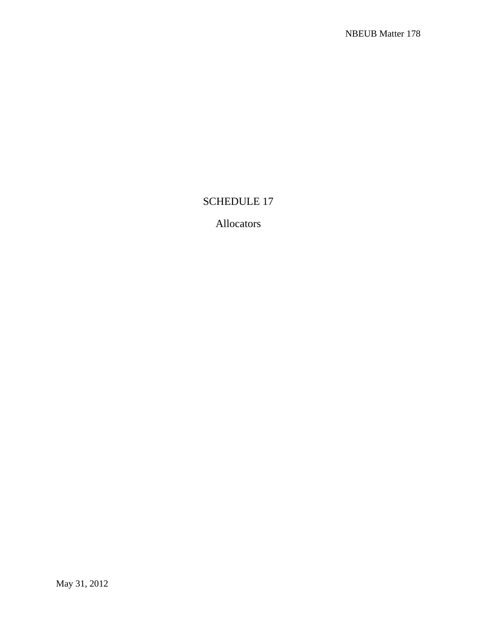## SCHEDULE 17

## Allocators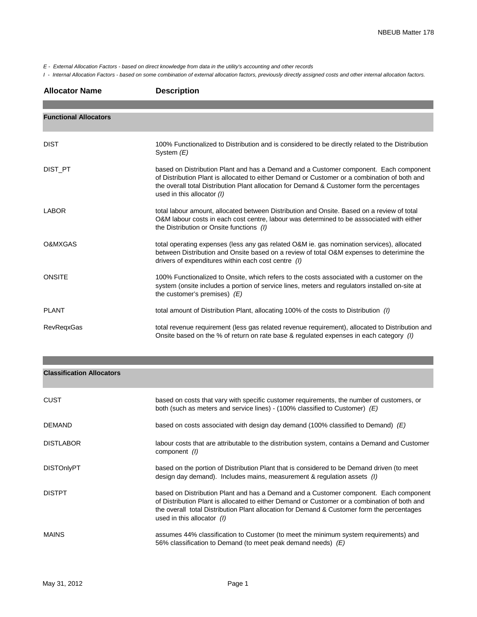*E - External Allocation Factors - based on direct knowledge from data in the utility's accounting and other records*

*I - Internal Allocation Factors - based on some combination of external allocation factors, previously directly assigned costs and other internal allocation factors.*

| <b>Allocator Name</b>        | <b>Description</b>                                                                                                                                                                                                                                                                                                |
|------------------------------|-------------------------------------------------------------------------------------------------------------------------------------------------------------------------------------------------------------------------------------------------------------------------------------------------------------------|
|                              |                                                                                                                                                                                                                                                                                                                   |
| <b>Functional Allocators</b> |                                                                                                                                                                                                                                                                                                                   |
| <b>DIST</b>                  | 100% Functionalized to Distribution and is considered to be directly related to the Distribution<br>System $(E)$                                                                                                                                                                                                  |
| DIST PT                      | based on Distribution Plant and has a Demand and a Customer component. Each component<br>of Distribution Plant is allocated to either Demand or Customer or a combination of both and<br>the overall total Distribution Plant allocation for Demand & Customer form the percentages<br>used in this allocator (I) |
| <b>LABOR</b>                 | total labour amount, allocated between Distribution and Onsite. Based on a review of total<br>O&M labour costs in each cost centre, labour was determined to be asssociated with either<br>the Distribution or Onsite functions (I)                                                                               |
| O&MXGAS                      | total operating expenses (less any gas related O&M ie. gas nomination services), allocated<br>between Distribution and Onsite based on a review of total O&M expenses to deterimine the<br>drivers of expenditures within each cost centre (I)                                                                    |
| <b>ONSITE</b>                | 100% Functionalized to Onsite, which refers to the costs associated with a customer on the<br>system (onsite includes a portion of service lines, meters and regulators installed on-site at<br>the customer's premises) $(E)$                                                                                    |
| <b>PLANT</b>                 | total amount of Distribution Plant, allocating 100% of the costs to Distribution (1)                                                                                                                                                                                                                              |
| <b>RevRegxGas</b>            | total revenue requirement (less gas related revenue requirement), allocated to Distribution and<br>Onsite based on the % of return on rate base & regulated expenses in each category (I)                                                                                                                         |

| <b>Classification Allocators</b> |                                                                                                                                                                                                                                                                                                                     |
|----------------------------------|---------------------------------------------------------------------------------------------------------------------------------------------------------------------------------------------------------------------------------------------------------------------------------------------------------------------|
| <b>CUST</b>                      | based on costs that vary with specific customer requirements, the number of customers, or<br>both (such as meters and service lines) - (100% classified to Customer) $(E)$                                                                                                                                          |
| DEMAND                           | based on costs associated with design day demand (100% classified to Demand) $(E)$                                                                                                                                                                                                                                  |
| <b>DISTLABOR</b>                 | labour costs that are attributable to the distribution system, contains a Demand and Customer<br>component (1)                                                                                                                                                                                                      |
| <b>DISTOnlyPT</b>                | based on the portion of Distribution Plant that is considered to be Demand driven (to meet<br>design day demand). Includes mains, measurement & regulation assets (1)                                                                                                                                               |
| <b>DISTPT</b>                    | based on Distribution Plant and has a Demand and a Customer component. Each component<br>of Distribution Plant is allocated to either Demand or Customer or a combination of both and<br>the overall total Distribution Plant allocation for Demand & Customer form the percentages<br>used in this allocator $(1)$ |
| MAINS                            | assumes 44% classification to Customer (to meet the minimum system requirements) and<br>56% classification to Demand (to meet peak demand needs) $(E)$                                                                                                                                                              |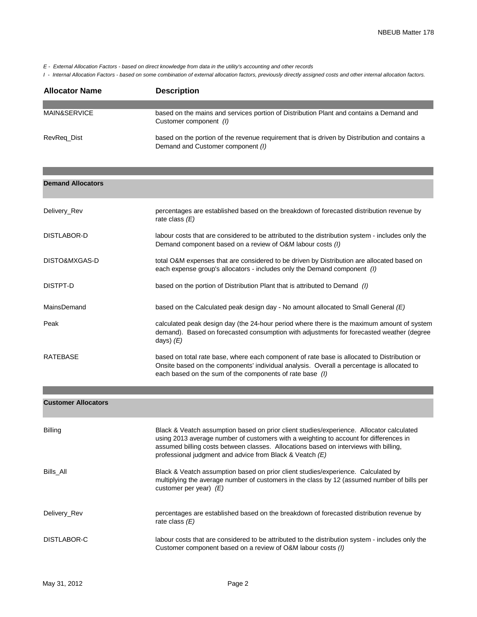*E - External Allocation Factors - based on direct knowledge from data in the utility's accounting and other records*

*I - Internal Allocation Factors - based on some combination of external allocation factors, previously directly assigned costs and other internal allocation factors.*

| <b>Allocator Name</b>   | <b>Description</b>                                                                                                                 |
|-------------------------|------------------------------------------------------------------------------------------------------------------------------------|
|                         |                                                                                                                                    |
| <b>MAIN&amp;SERVICE</b> | based on the mains and services portion of Distribution Plant and contains a Demand and<br>Customer component (1)                  |
| RevReg Dist             | based on the portion of the revenue requirement that is driven by Distribution and contains a<br>Demand and Customer component (I) |

| <b>Demand Allocators</b>   |                                                                                                                                                                                                                                                                                                                                       |
|----------------------------|---------------------------------------------------------------------------------------------------------------------------------------------------------------------------------------------------------------------------------------------------------------------------------------------------------------------------------------|
| Delivery_Rev               | percentages are established based on the breakdown of forecasted distribution revenue by<br>rate class $(E)$                                                                                                                                                                                                                          |
| DISTLABOR-D                | labour costs that are considered to be attributed to the distribution system - includes only the<br>Demand component based on a review of O&M labour costs (I)                                                                                                                                                                        |
| DISTO&MXGAS-D              | total O&M expenses that are considered to be driven by Distribution are allocated based on<br>each expense group's allocators - includes only the Demand component (I)                                                                                                                                                                |
| DISTPT-D                   | based on the portion of Distribution Plant that is attributed to Demand $(1)$                                                                                                                                                                                                                                                         |
| <b>MainsDemand</b>         | based on the Calculated peak design day - No amount allocated to Small General $(E)$                                                                                                                                                                                                                                                  |
| Peak                       | calculated peak design day (the 24-hour period where there is the maximum amount of system<br>demand). Based on forecasted consumption with adjustments for forecasted weather (degree<br>days) $(E)$                                                                                                                                 |
| <b>RATEBASE</b>            | based on total rate base, where each component of rate base is allocated to Distribution or<br>Onsite based on the components' individual analysis. Overall a percentage is allocated to<br>each based on the sum of the components of rate base (I)                                                                                  |
|                            |                                                                                                                                                                                                                                                                                                                                       |
| <b>Customer Allocators</b> |                                                                                                                                                                                                                                                                                                                                       |
| <b>Billing</b>             | Black & Veatch assumption based on prior client studies/experience. Allocator calculated<br>using 2013 average number of customers with a weighting to account for differences in<br>assumed billing costs between classes. Allocations based on interviews with billing,<br>professional judgment and advice from Black & Veatch (E) |
| Bills_All                  | Black & Veatch assumption based on prior client studies/experience. Calculated by<br>multiplying the average number of customers in the class by 12 (assumed number of bills per<br>customer per year) $(E)$                                                                                                                          |
| Delivery_Rev               | percentages are established based on the breakdown of forecasted distribution revenue by<br>rate class $(E)$                                                                                                                                                                                                                          |
| DISTLABOR-C                | labour costs that are considered to be attributed to the distribution system - includes only the<br>Customer component based on a review of O&M labour costs (I)                                                                                                                                                                      |